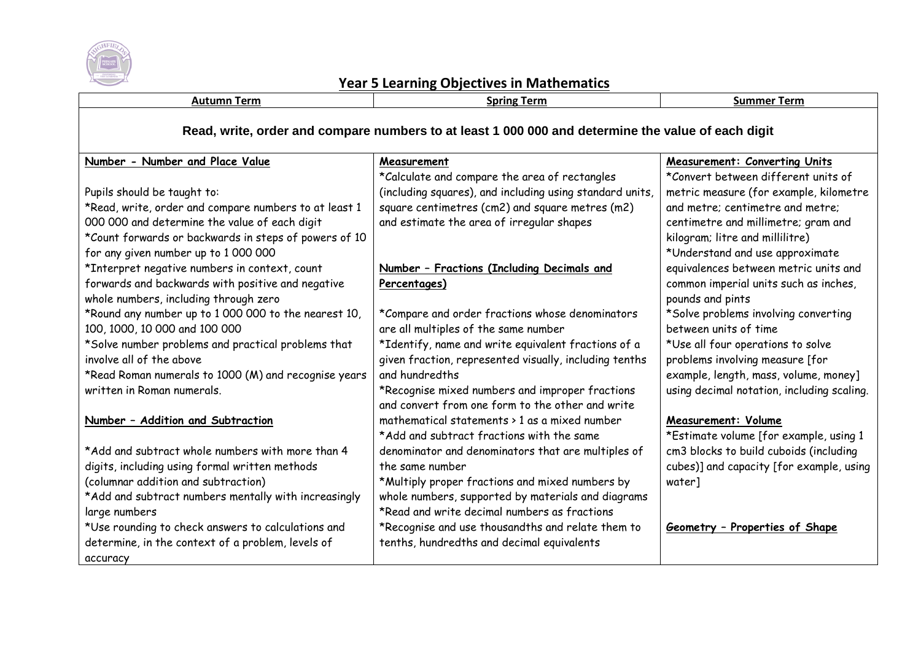

## **Year 5 Learning Objectives in Mathematics**

| <b>Autumn Term</b>                                                                                 | <b>Spring Term</b>                                       | <b>Summer Term</b>                         |  |
|----------------------------------------------------------------------------------------------------|----------------------------------------------------------|--------------------------------------------|--|
| Read, write, order and compare numbers to at least 1 000 000 and determine the value of each digit |                                                          |                                            |  |
| Number - Number and Place Value                                                                    | Measurement                                              | <b>Measurement: Converting Units</b>       |  |
|                                                                                                    | *Calculate and compare the area of rectangles            | *Convert between different units of        |  |
| Pupils should be taught to:                                                                        | (including squares), and including using standard units, | metric measure (for example, kilometre     |  |
| *Read, write, order and compare numbers to at least 1                                              | square centimetres (cm2) and square metres (m2)          | and metre; centimetre and metre;           |  |
| 000 000 and determine the value of each digit                                                      | and estimate the area of irregular shapes                | centimetre and millimetre; gram and        |  |
| *Count forwards or backwards in steps of powers of 10                                              |                                                          | kilogram; litre and millilitre)            |  |
| for any given number up to 1 000 000                                                               |                                                          | *Understand and use approximate            |  |
| *Interpret negative numbers in context, count                                                      | Number - Fractions (Including Decimals and               | equivalences between metric units and      |  |
| forwards and backwards with positive and negative                                                  | Percentages)                                             | common imperial units such as inches,      |  |
| whole numbers, including through zero                                                              |                                                          | pounds and pints                           |  |
| *Round any number up to 1 000 000 to the nearest 10,                                               | *Compare and order fractions whose denominators          | *Solve problems involving converting       |  |
| 100, 1000, 10 000 and 100 000                                                                      | are all multiples of the same number                     | between units of time                      |  |
| *Solve number problems and practical problems that                                                 | *Identify, name and write equivalent fractions of a      | *Use all four operations to solve          |  |
| involve all of the above                                                                           | given fraction, represented visually, including tenths   | problems involving measure [for            |  |
| *Read Roman numerals to 1000 (M) and recognise years                                               | and hundredths                                           | example, length, mass, volume, money]      |  |
| written in Roman numerals.                                                                         | *Recognise mixed numbers and improper fractions          | using decimal notation, including scaling. |  |
|                                                                                                    | and convert from one form to the other and write         |                                            |  |
| Number - Addition and Subtraction                                                                  | mathematical statements > 1 as a mixed number            | <b>Measurement: Volume</b>                 |  |
|                                                                                                    | *Add and subtract fractions with the same                | *Estimate volume [for example, using 1     |  |
| *Add and subtract whole numbers with more than 4                                                   | denominator and denominators that are multiples of       | cm3 blocks to build cuboids (including     |  |
| digits, including using formal written methods                                                     | the same number                                          | cubes)] and capacity [for example, using   |  |
| (columnar addition and subtraction)                                                                | *Multiply proper fractions and mixed numbers by          | water]                                     |  |
| *Add and subtract numbers mentally with increasingly                                               | whole numbers, supported by materials and diagrams       |                                            |  |
| large numbers                                                                                      | *Read and write decimal numbers as fractions             |                                            |  |
| *Use rounding to check answers to calculations and                                                 | *Recognise and use thousandths and relate them to        | Geometry - Properties of Shape             |  |
| determine, in the context of a problem, levels of                                                  | tenths, hundredths and decimal equivalents               |                                            |  |
| accuracy                                                                                           |                                                          |                                            |  |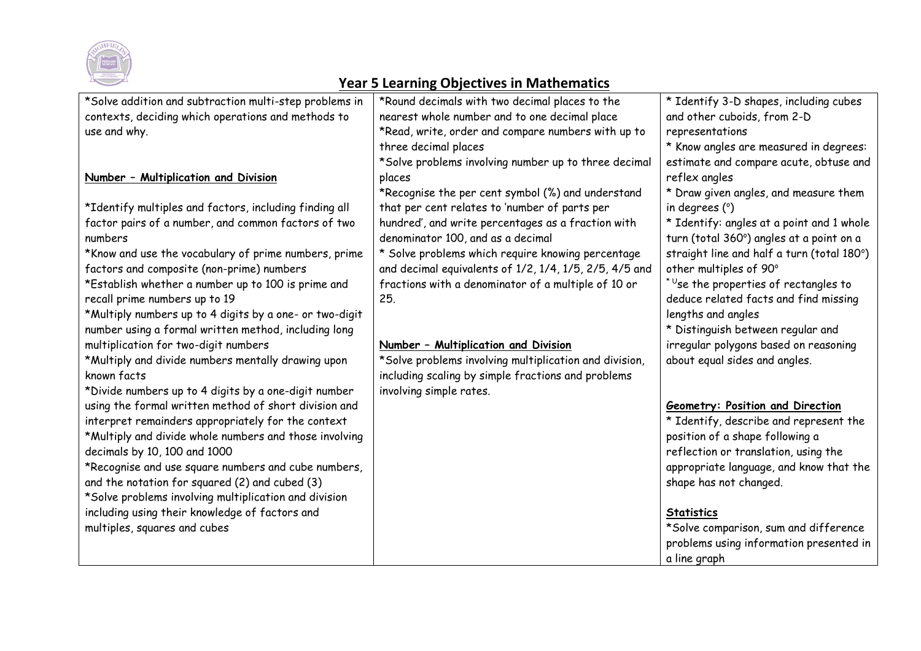

## **Year 5 Learning Objectives in Mathematics**

| *Solve addition and subtraction multi-step problems in  | *Round decimals with two decimal places to the         | * Identify 3-D shapes, including cubes                  |
|---------------------------------------------------------|--------------------------------------------------------|---------------------------------------------------------|
| contexts, deciding which operations and methods to      | nearest whole number and to one decimal place          | and other cuboids, from 2-D                             |
| use and why.                                            | *Read, write, order and compare numbers with up to     | representations                                         |
|                                                         | three decimal places                                   | * Know angles are measured in degrees:                  |
|                                                         | *Solve problems involving number up to three decimal   | estimate and compare acute, obtuse and                  |
| Number - Multiplication and Division                    | places                                                 | reflex angles                                           |
|                                                         | *Recognise the per cent symbol (%) and understand      | * Draw given angles, and measure them                   |
| *Identify multiples and factors, including finding all  | that per cent relates to 'number of parts per          | in degrees $(°)$                                        |
| factor pairs of a number, and common factors of two     | hundred', and write percentages as a fraction with     | * Identify: angles at a point and 1 whole               |
| numbers                                                 | denominator 100, and as a decimal                      | turn (total 360°) angles at a point on a                |
| *Know and use the vocabulary of prime numbers, prime    | * Solve problems which require knowing percentage      | straight line and half a turn (total 180°)              |
| factors and composite (non-prime) numbers               | and decimal equivalents of 1/2, 1/4, 1/5, 2/5, 4/5 and | other multiples of 90°                                  |
| *Establish whether a number up to 100 is prime and      | fractions with a denominator of a multiple of 10 or    | $\mathrm{^{\star}}$ Use the properties of rectangles to |
| recall prime numbers up to 19                           | 25.                                                    | deduce related facts and find missing                   |
| *Multiply numbers up to 4 digits by a one- or two-digit |                                                        | lengths and angles                                      |
| number using a formal written method, including long    |                                                        | * Distinguish between regular and                       |
| multiplication for two-digit numbers                    | Number - Multiplication and Division                   | irregular polygons based on reasoning                   |
| *Multiply and divide numbers mentally drawing upon      | *Solve problems involving multiplication and division, | about equal sides and angles.                           |
| known facts                                             | including scaling by simple fractions and problems     |                                                         |
| *Divide numbers up to 4 digits by a one-digit number    | involving simple rates.                                |                                                         |
| using the formal written method of short division and   |                                                        | <b>Geometry: Position and Direction</b>                 |
| interpret remainders appropriately for the context      |                                                        | * Identify, describe and represent the                  |
| *Multiply and divide whole numbers and those involving  |                                                        | position of a shape following a                         |
| decimals by 10, 100 and 1000                            |                                                        | reflection or translation, using the                    |
| *Recognise and use square numbers and cube numbers,     |                                                        | appropriate language, and know that the                 |
| and the notation for squared (2) and cubed (3)          |                                                        | shape has not changed.                                  |
| *Solve problems involving multiplication and division   |                                                        |                                                         |
| including using their knowledge of factors and          |                                                        | <b>Statistics</b>                                       |
| multiples, squares and cubes                            |                                                        | *Solve comparison, sum and difference                   |
|                                                         |                                                        | problems using information presented in                 |
|                                                         |                                                        | a line graph                                            |